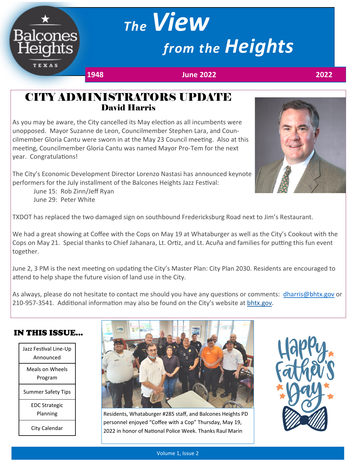# *The View from the Heights*

**Balcones** 

**TEXAS** 

**1948 June 2022 2022**

#### CITY ADMINISTRATORS UPDATE David Harris

As you may be aware, the City cancelled its May election as all incumbents were unopposed. Mayor Suzanne de Leon, Councilmember Stephen Lara, and Councilmember Gloria Cantu were sworn in at the May 23 Council meeting. Also at this meeting, Councilmember Gloria Cantu was named Mayor Pro-Tem for the next year. Congratulations!

The City's Economic Development Director Lorenzo Nastasi has announced keynote performers for the July installment of the Balcones Heights Jazz Festival:

June 15: Rob Zinn/Jeff Ryan June 29: Peter White



We had a great showing at Coffee with the Cops on May 19 at Whataburger as well as the City's Cookout with the Cops on May 21. Special thanks to Chief Jahanara, Lt. Ortiz, and Lt. Acuña and families for putting this fun event together.

June 2, 3 PM is the next meeting on updating the City's Master Plan: City Plan 2030. Residents are encouraged to attend to help shape the future vision of land use in the City.

As always, please do not hesitate to contact me should you have any questions or comments: [dharris@bhtx.gov](mailto:dharris@bhtx.gov) or 210-957-3541. Additional information may also be found on the City's website at [bhtx.gov.](https://bhtx.gov/sites/default/files/city_notice_files/city_administrator_update.pdf)

#### IN THIS ISSUE...

| Jazz Festival Line-Up<br>Announced |
|------------------------------------|
| Meals on Wheels<br>Program         |
| <b>Summer Safety Tips</b>          |
| <b>EDC Strategic</b><br>Planning   |
| City Calendar                      |



Residents, Whataburger #285 staff, and Balcones Heights PD personnel enjoyed "Coffee with a Cop" Thursday, May 19, 2022 in honor of National Police Week. Thanks Raul Marin



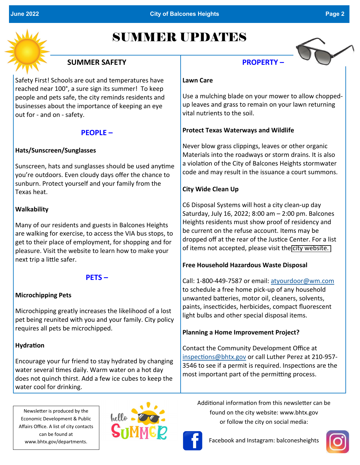

## SUMMER UPDATES

#### **SUMMER SAFETY**

Safety First! Schools are out and temperatures have reached near 100°, a sure sign its summer! To keep people and pets safe, the city reminds residents and businesses about the importance of keeping an eye out for - and on - safety.

#### **PEOPLE –**

#### **Hats/Sunscreen/Sunglasses**

Sunscreen, hats and sunglasses should be used anytime you're outdoors. Even cloudy days offer the chance to sunburn. Protect yourself and your family from the Texas heat.

#### **Walkability**

Many of our residents and guests in Balcones Heights are walking for exercise, to access the VIA bus stops, to get to their place of employment, for shopping and for pleasure. Visit the website to learn how to make your next trip a little safer.

#### **PETS –**

#### **Microchipping Pets**

Microchipping greatly increases the likelihood of a lost pet being reunited with you and your family. City policy requires all pets be microchipped.

#### **Hydration**

Encourage your fur friend to stay hydrated by changing water several times daily. Warm water on a hot day does not quinch thirst. Add a few ice cubes to keep the water cool for drinking.

Newsletter is produced by the Economic Development & Public Affairs Office. A list of city contacts can be found at www.bhtx.gov/departments.





#### **Lawn Care**

Use a mulching blade on your mower to allow choppedup leaves and grass to remain on your lawn returning vital nutrients to the soil.

#### **Protect Texas Waterways and Wildlife**

Never blow grass clippings, leaves or other organic Materials into the roadways or storm drains. It is also a violation of the City of Balcones Heights stormwater code and may result in the issuance a court summons.

#### **City Wide Clean Up**

C6 Disposal Systems will host a city clean-up day Saturday, July 16, 2022; 8:00 am – 2:00 pm. Balcones Heights residents must show proof of residency and be current on the refuse account. Items may be dropped off at the rear of the Justice Center. For a list of items not accepted, please visit the [city website.](https://bhtx.gov/sites/default/files/city_notice_files/c6_disposal_day_items_0.pdf) 

#### **Free Household Hazardous Waste Disposal**

Call: 1-800-449-7587 or email: [atyourdoor@wm.com](mailto:atyourdoor@wm.com) to schedule a free home pick-up of any household unwanted batteries, motor oil, cleaners, solvents, paints, insecticides, herbicides, compact fluorescent light bulbs and other special disposal items.

#### **Planning a Home Improvement Project?**

Contact the Community Development Office at [inspections@bhtx.gov](mailto:inspections@bhtx.gov) or call Luther Perez at 210-957- 3546 to see if a permit is required. Inspections are the most important part of the permitting process.

Additional information from this newsletter can be found on the city website: www.bhtx.gov or follow the city on social media:



Facebook and Instagram: balconesheights

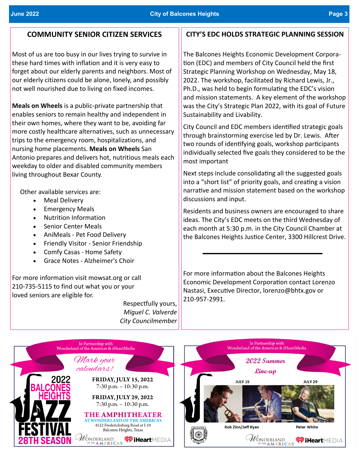#### **June 2022 City of Balcones Heights Page 3**

#### **COMMUNITY SENIOR CITIZEN SERVICES**

Most of us are too busy in our lives trying to survive in these hard times with inflation and it is very easy to forget about our elderly parents and neighbors. Most of our elderly citizens could be alone, lonely, and possibly not well nourished due to living on fixed incomes.

**Meals on Wheels** is a public-private partnership that enables seniors to remain healthy and independent in their own homes, where they want to be, avoiding far more costly healthcare alternatives, such as unnecessary trips to the emergency room, hospitalizations, and nursing home placements. **Meals on Wheels** San Antonio prepares and delivers hot, nutritious meals each weekday to older and disabled community members living throughout Bexar County.

Other available services are:

- Meal Delivery
- Emergency Meals
- Nutrition Information
- Senior Center Meals
- AniMeals Pet Food Delivery
- Friendly Visitor Senior Friendship
- Comfy Casas Home Safety
- Grace Notes Alzheimer's Choir

For more information visit mowsat.org or call 210-735-5115 to find out what you or your loved seniors are eligible for.

> Respectfully yours, *Miguel C. Valverde City Councilmember*

#### **CITY'S EDC HOLDS STRATEGIC PLANNING SESSION**

The Balcones Heights Economic Development Corporation (EDC) and members of City Council held the first Strategic Planning Workshop on Wednesday, May 18, 2022. The workshop, facilitated by Richard Lewis, Jr., Ph.D., was held to begin formulating the EDC's vision and mission statements. A key element of the workshop was the City's Strategic Plan 2022, with its goal of Future Sustainability and Livability.

City Council and EDC members identified strategic goals through brainstorming exercise led by Dr. Lewis. After two rounds of identifying goals, workshop participants individually selected five goals they considered to be the most important

Next steps include consolidating all the suggested goals into a "short list" of priority goals, and creating a vision narrative and mission statement based on the workshop discussions and input.

Residents and business owners are encouraged to share ideas. The City's EDC meets on the third Wednesday of each month at 5:30 p.m. in the City Council Chamber at the Balcones Heights Justice Center, 3300 Hillcrest Drive.

For more information about the Balcones Heights Economic Development Corporation contact Lorenzo Nastasi, Executive Director, lorenzo@bhtx.gov or 210-957-2991.